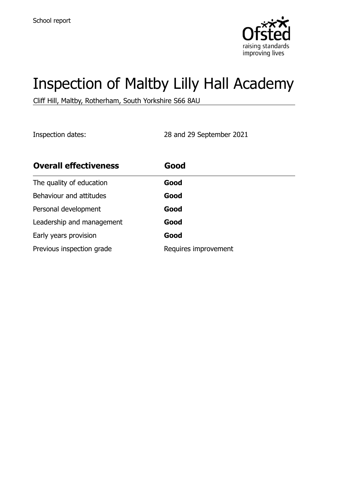

# Inspection of Maltby Lilly Hall Academy

Cliff Hill, Maltby, Rotherham, South Yorkshire S66 8AU

Inspection dates: 28 and 29 September 2021

| <b>Overall effectiveness</b> | Good                 |
|------------------------------|----------------------|
| The quality of education     | Good                 |
| Behaviour and attitudes      | Good                 |
| Personal development         | Good                 |
| Leadership and management    | Good                 |
| Early years provision        | Good                 |
| Previous inspection grade    | Requires improvement |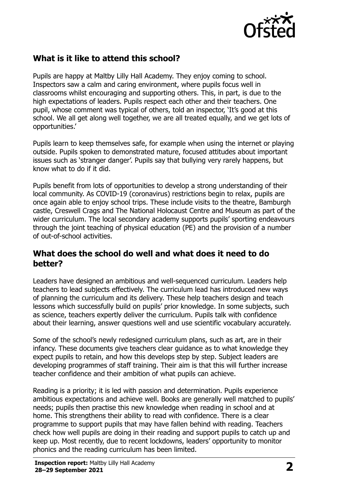

# **What is it like to attend this school?**

Pupils are happy at Maltby Lilly Hall Academy. They enjoy coming to school. Inspectors saw a calm and caring environment, where pupils focus well in classrooms whilst encouraging and supporting others. This, in part, is due to the high expectations of leaders. Pupils respect each other and their teachers. One pupil, whose comment was typical of others, told an inspector, 'It's good at this school. We all get along well together, we are all treated equally, and we get lots of opportunities.'

Pupils learn to keep themselves safe, for example when using the internet or playing outside. Pupils spoken to demonstrated mature, focused attitudes about important issues such as 'stranger danger'. Pupils say that bullying very rarely happens, but know what to do if it did.

Pupils benefit from lots of opportunities to develop a strong understanding of their local community. As COVID-19 (coronavirus) restrictions begin to relax, pupils are once again able to enjoy school trips. These include visits to the theatre, Bamburgh castle, Creswell Crags and The National Holocaust Centre and Museum as part of the wider curriculum. The local secondary academy supports pupils' sporting endeavours through the joint teaching of physical education (PE) and the provision of a number of out-of-school activities.

### **What does the school do well and what does it need to do better?**

Leaders have designed an ambitious and well-sequenced curriculum. Leaders help teachers to lead subjects effectively. The curriculum lead has introduced new ways of planning the curriculum and its delivery. These help teachers design and teach lessons which successfully build on pupils' prior knowledge. In some subjects, such as science, teachers expertly deliver the curriculum. Pupils talk with confidence about their learning, answer questions well and use scientific vocabulary accurately.

Some of the school's newly redesigned curriculum plans, such as art, are in their infancy. These documents give teachers clear guidance as to what knowledge they expect pupils to retain, and how this develops step by step. Subject leaders are developing programmes of staff training. Their aim is that this will further increase teacher confidence and their ambition of what pupils can achieve.

Reading is a priority; it is led with passion and determination. Pupils experience ambitious expectations and achieve well. Books are generally well matched to pupils' needs; pupils then practise this new knowledge when reading in school and at home. This strengthens their ability to read with confidence. There is a clear programme to support pupils that may have fallen behind with reading. Teachers check how well pupils are doing in their reading and support pupils to catch up and keep up. Most recently, due to recent lockdowns, leaders' opportunity to monitor phonics and the reading curriculum has been limited.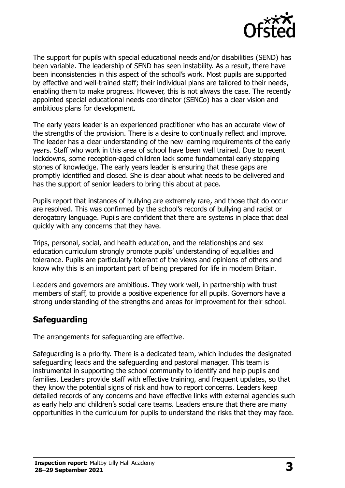

The support for pupils with special educational needs and/or disabilities (SEND) has been variable. The leadership of SEND has seen instability. As a result, there have been inconsistencies in this aspect of the school's work. Most pupils are supported by effective and well-trained staff; their individual plans are tailored to their needs, enabling them to make progress. However, this is not always the case. The recently appointed special educational needs coordinator (SENCo) has a clear vision and ambitious plans for development.

The early years leader is an experienced practitioner who has an accurate view of the strengths of the provision. There is a desire to continually reflect and improve. The leader has a clear understanding of the new learning requirements of the early years. Staff who work in this area of school have been well trained. Due to recent lockdowns, some reception-aged children lack some fundamental early stepping stones of knowledge. The early years leader is ensuring that these gaps are promptly identified and closed. She is clear about what needs to be delivered and has the support of senior leaders to bring this about at pace.

Pupils report that instances of bullying are extremely rare, and those that do occur are resolved. This was confirmed by the school's records of bullying and racist or derogatory language. Pupils are confident that there are systems in place that deal quickly with any concerns that they have.

Trips, personal, social, and health education, and the relationships and sex education curriculum strongly promote pupils' understanding of equalities and tolerance. Pupils are particularly tolerant of the views and opinions of others and know why this is an important part of being prepared for life in modern Britain.

Leaders and governors are ambitious. They work well, in partnership with trust members of staff, to provide a positive experience for all pupils. Governors have a strong understanding of the strengths and areas for improvement for their school.

# **Safeguarding**

The arrangements for safeguarding are effective.

Safeguarding is a priority. There is a dedicated team, which includes the designated safeguarding leads and the safeguarding and pastoral manager. This team is instrumental in supporting the school community to identify and help pupils and families. Leaders provide staff with effective training, and frequent updates, so that they know the potential signs of risk and how to report concerns. Leaders keep detailed records of any concerns and have effective links with external agencies such as early help and children's social care teams. Leaders ensure that there are many opportunities in the curriculum for pupils to understand the risks that they may face.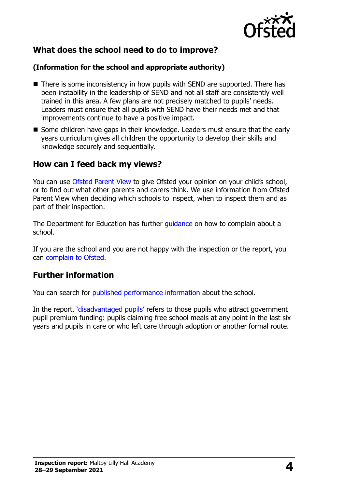

# **What does the school need to do to improve?**

#### **(Information for the school and appropriate authority)**

- There is some inconsistency in how pupils with SEND are supported. There has been instability in the leadership of SEND and not all staff are consistently well trained in this area. A few plans are not precisely matched to pupils' needs. Leaders must ensure that all pupils with SEND have their needs met and that improvements continue to have a positive impact.
- Some children have gaps in their knowledge. Leaders must ensure that the early years curriculum gives all children the opportunity to develop their skills and knowledge securely and sequentially.

## **How can I feed back my views?**

You can use [Ofsted Parent View](http://parentview.ofsted.gov.uk/) to give Ofsted your opinion on your child's school, or to find out what other parents and carers think. We use information from Ofsted Parent View when deciding which schools to inspect, when to inspect them and as part of their inspection.

The Department for Education has further quidance on how to complain about a school.

If you are the school and you are not happy with the inspection or the report, you can [complain to Ofsted.](http://www.gov.uk/complain-ofsted-report)

#### **Further information**

You can search for [published performance information](http://www.compare-school-performance.service.gov.uk/) about the school.

In the report, '[disadvantaged pupils](http://www.gov.uk/guidance/pupil-premium-information-for-schools-and-alternative-provision-settings)' refers to those pupils who attract government pupil premium funding: pupils claiming free school meals at any point in the last six years and pupils in care or who left care through adoption or another formal route.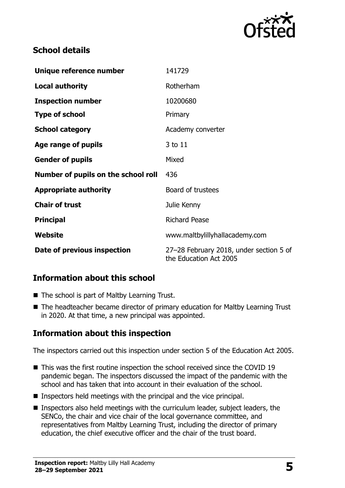

# **School details**

| Unique reference number             | 141729                                                            |  |
|-------------------------------------|-------------------------------------------------------------------|--|
| <b>Local authority</b>              | Rotherham                                                         |  |
| <b>Inspection number</b>            | 10200680                                                          |  |
| <b>Type of school</b>               | Primary                                                           |  |
| <b>School category</b>              | Academy converter                                                 |  |
| Age range of pupils                 | 3 to 11                                                           |  |
| <b>Gender of pupils</b>             | Mixed                                                             |  |
| Number of pupils on the school roll | 436                                                               |  |
| <b>Appropriate authority</b>        | Board of trustees                                                 |  |
| <b>Chair of trust</b>               | Julie Kenny                                                       |  |
| <b>Principal</b>                    | <b>Richard Pease</b>                                              |  |
| Website                             | www.maltbylillyhallacademy.com                                    |  |
| Date of previous inspection         | 27-28 February 2018, under section 5 of<br>the Education Act 2005 |  |

# **Information about this school**

- The school is part of Maltby Learning Trust.
- The headteacher became director of primary education for Maltby Learning Trust in 2020. At that time, a new principal was appointed.

# **Information about this inspection**

The inspectors carried out this inspection under section 5 of the Education Act 2005.

- This was the first routine inspection the school received since the COVID 19 pandemic began. The inspectors discussed the impact of the pandemic with the school and has taken that into account in their evaluation of the school.
- $\blacksquare$  Inspectors held meetings with the principal and the vice principal.
- Inspectors also held meetings with the curriculum leader, subject leaders, the SENCo, the chair and vice chair of the local governance committee, and representatives from Maltby Learning Trust, including the director of primary education, the chief executive officer and the chair of the trust board.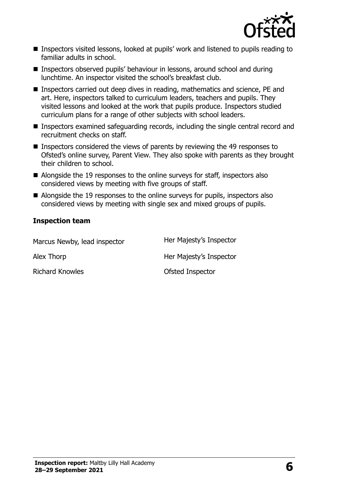

- Inspectors visited lessons, looked at pupils' work and listened to pupils reading to familiar adults in school.
- Inspectors observed pupils' behaviour in lessons, around school and during lunchtime. An inspector visited the school's breakfast club.
- Inspectors carried out deep dives in reading, mathematics and science, PE and art. Here, inspectors talked to curriculum leaders, teachers and pupils. They visited lessons and looked at the work that pupils produce. Inspectors studied curriculum plans for a range of other subjects with school leaders.
- Inspectors examined safeguarding records, including the single central record and recruitment checks on staff.
- Inspectors considered the views of parents by reviewing the 49 responses to Ofsted's online survey, Parent View. They also spoke with parents as they brought their children to school.
- Alongside the 19 responses to the online surveys for staff, inspectors also considered views by meeting with five groups of staff.
- Alongside the 19 responses to the online surveys for pupils, inspectors also considered views by meeting with single sex and mixed groups of pupils.

#### **Inspection team**

| Marcus Newby, lead inspector | Her Majesty's Inspector |
|------------------------------|-------------------------|
| Alex Thorp                   | Her Majesty's Inspector |
| <b>Richard Knowles</b>       | Ofsted Inspector        |